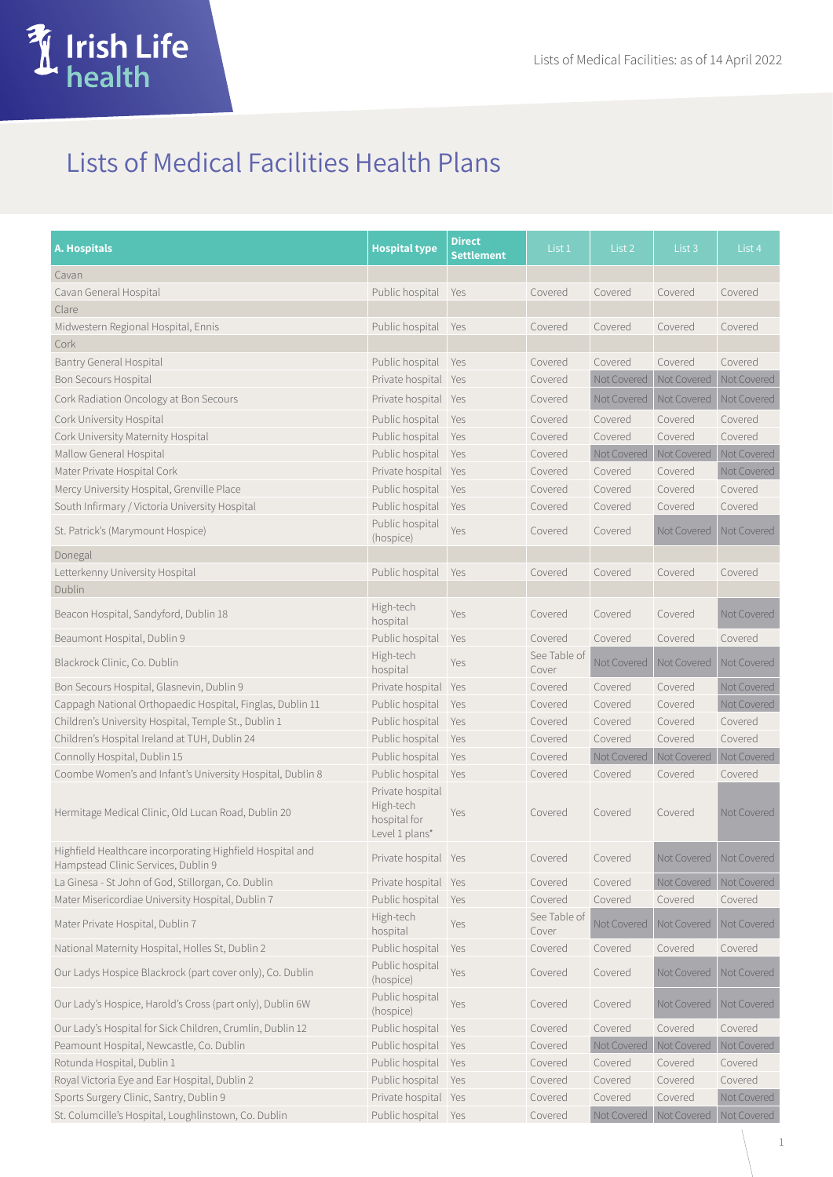

## Lists of Medical Facilities Health Plans

| A. Hospitals                                                                                     | <b>Hospital type</b>                                            | <b>Direct</b><br><b>Settlement</b> | List 1                | List 2      | List 3                              | List 4      |
|--------------------------------------------------------------------------------------------------|-----------------------------------------------------------------|------------------------------------|-----------------------|-------------|-------------------------------------|-------------|
| Cavan                                                                                            |                                                                 |                                    |                       |             |                                     |             |
| Cavan General Hospital                                                                           | Public hospital                                                 | Yes                                | Covered               | Covered     | Covered                             | Covered     |
| Clare                                                                                            |                                                                 |                                    |                       |             |                                     |             |
| Midwestern Regional Hospital, Ennis                                                              | Public hospital                                                 | Yes                                | Covered               | Covered     | Covered                             | Covered     |
| Cork                                                                                             |                                                                 |                                    |                       |             |                                     |             |
| <b>Bantry General Hospital</b>                                                                   | Public hospital                                                 | Yes                                | Covered               | Covered     | Covered                             | Covered     |
| Bon Secours Hospital                                                                             | Private hospital Yes                                            |                                    | Covered               | Not Covered | Not Covered                         | Not Covered |
| Cork Radiation Oncology at Bon Secours                                                           | Private hospital Yes                                            |                                    | Covered               | Not Covered | Not Covered                         | Not Covered |
| Cork University Hospital                                                                         | Public hospital                                                 | Yes                                | Covered               | Covered     | Covered                             | Covered     |
| Cork University Maternity Hospital                                                               | Public hospital                                                 | Yes                                | Covered               | Covered     | Covered                             | Covered     |
| Mallow General Hospital                                                                          | Public hospital                                                 | Yes                                | Covered               | Not Covered | Not Covered                         | Not Covered |
| Mater Private Hospital Cork                                                                      | Private hospital Yes                                            |                                    | Covered               | Covered     | Covered                             | Not Covered |
| Mercy University Hospital, Grenville Place                                                       | Public hospital Yes                                             |                                    | Covered               | Covered     | Covered                             | Covered     |
| South Infirmary / Victoria University Hospital                                                   | Public hospital                                                 | Yes                                | Covered               | Covered     | Covered                             | Covered     |
| St. Patrick's (Marymount Hospice)                                                                | Public hospital<br>(hospice)                                    | Yes                                | Covered               | Covered     | Not Covered                         | Not Covered |
| Donegal                                                                                          |                                                                 |                                    |                       |             |                                     |             |
| Letterkenny University Hospital<br>Dublin                                                        | Public hospital Yes                                             |                                    | Covered               | Covered     | Covered                             | Covered     |
| Beacon Hospital, Sandyford, Dublin 18                                                            | High-tech<br>hospital                                           | Yes                                | Covered               | Covered     | Covered                             | Not Covered |
| Beaumont Hospital, Dublin 9                                                                      | Public hospital                                                 | Yes                                | Covered               | Covered     | Covered                             | Covered     |
| Blackrock Clinic, Co. Dublin                                                                     | High-tech<br>hospital                                           | Yes                                | See Table of<br>Cover | Not Covered | Not Covered                         | Not Covered |
| Bon Secours Hospital, Glasnevin, Dublin 9                                                        | Private hospital                                                | Yes                                | Covered               | Covered     | Covered                             | Not Covered |
| Cappagh National Orthopaedic Hospital, Finglas, Dublin 11                                        | Public hospital                                                 | Yes                                | Covered               | Covered     | Covered                             | Not Covered |
| Children's University Hospital, Temple St., Dublin 1                                             | Public hospital                                                 | Yes                                | Covered               | Covered     | Covered                             | Covered     |
| Children's Hospital Ireland at TUH, Dublin 24                                                    | Public hospital                                                 | Yes                                | Covered               | Covered     | Covered                             | Covered     |
| Connolly Hospital, Dublin 15                                                                     | Public hospital                                                 | Yes                                | Covered               | Not Covered | Not Covered                         | Not Covered |
| Coombe Women's and Infant's University Hospital, Dublin 8                                        | Public hospital                                                 | Yes                                | Covered               | Covered     | Covered                             | Covered     |
| Hermitage Medical Clinic, Old Lucan Road, Dublin 20                                              | Private hospital<br>High-tech<br>hospital for<br>Level 1 plans* | Yes                                | Covered               | Covered     | Covered                             | Not Covered |
| Highfield Healthcare incorporating Highfield Hospital and<br>Hampstead Clinic Services, Dublin 9 | Private hospital Yes                                            |                                    | Covered               | Covered     | Not Covered                         | Not Covered |
| La Ginesa - St John of God, Stillorgan, Co. Dublin                                               | Private hospital Yes                                            |                                    | Covered               | Covered     | Not Covered Not Covered             |             |
| Mater Misericordiae University Hospital, Dublin 7                                                | Public hospital                                                 | Yes                                | Covered               | Covered     | Covered                             | Covered     |
| Mater Private Hospital, Dublin 7                                                                 | High-tech<br>hospital                                           | Yes                                | See Table of<br>Cover | Not Covered | Not Covered                         | Not Covered |
| National Maternity Hospital, Holles St, Dublin 2                                                 | Public hospital                                                 | Yes                                | Covered               | Covered     | Covered                             | Covered     |
| Our Ladys Hospice Blackrock (part cover only), Co. Dublin                                        | Public hospital<br>(hospice)                                    | Yes                                | Covered               | Covered     | Not Covered                         | Not Covered |
| Our Lady's Hospice, Harold's Cross (part only), Dublin 6W                                        | Public hospital<br>(hospice)                                    | Yes                                | Covered               | Covered     | Not Covered                         | Not Covered |
| Our Lady's Hospital for Sick Children, Crumlin, Dublin 12                                        | Public hospital                                                 | Yes                                | Covered               | Covered     | Covered                             | Covered     |
| Peamount Hospital, Newcastle, Co. Dublin                                                         | Public hospital                                                 | Yes                                | Covered               | Not Covered | Not Covered                         | Not Covered |
| Rotunda Hospital, Dublin 1                                                                       | Public hospital                                                 | Yes                                | Covered               | Covered     | Covered                             | Covered     |
| Royal Victoria Eye and Ear Hospital, Dublin 2                                                    | Public hospital                                                 | Yes                                | Covered               | Covered     | Covered                             | Covered     |
| Sports Surgery Clinic, Santry, Dublin 9                                                          | Private hospital Yes                                            |                                    | Covered               | Covered     | Covered                             | Not Covered |
| St. Columcille's Hospital, Loughlinstown, Co. Dublin                                             | Public hospital Yes                                             |                                    | Covered               |             | Not Covered Not Covered Not Covered |             |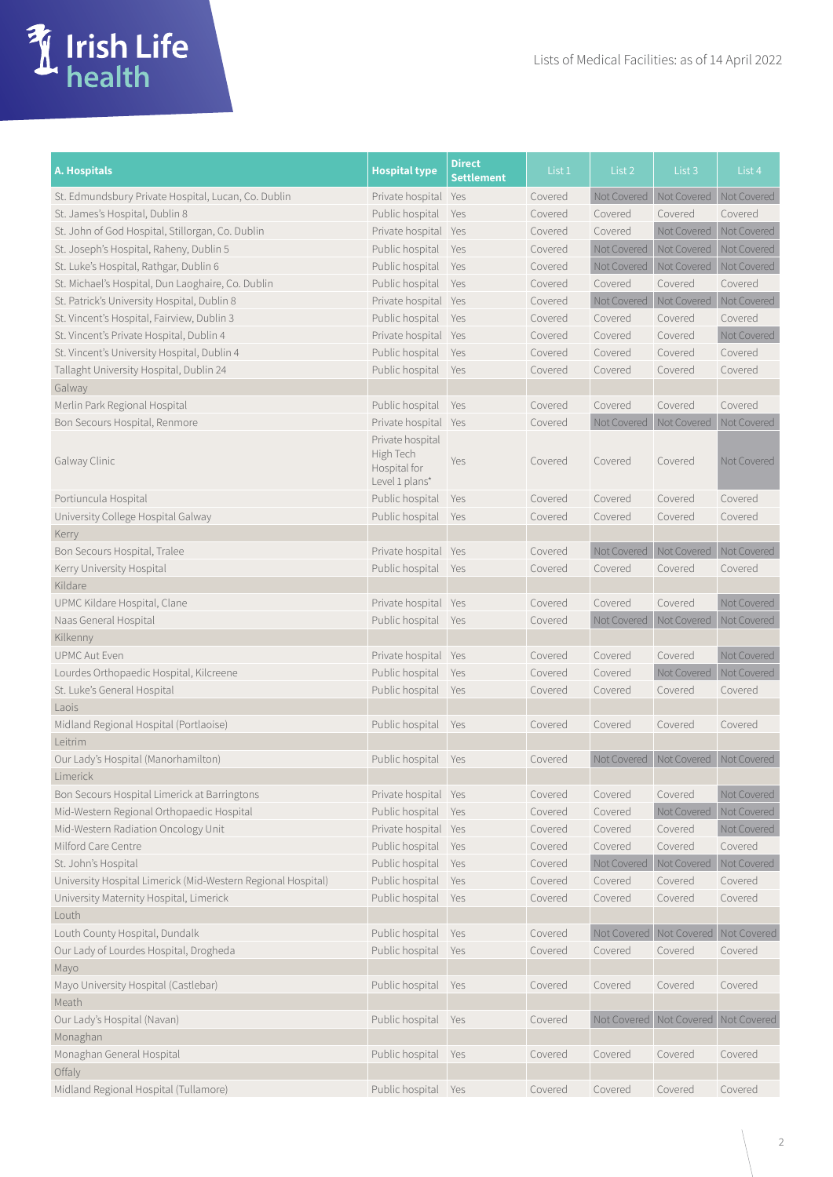| A. Hospitals                                                 | <b>Hospital type</b>                          | <b>Direct</b><br><b>Settlement</b> | List 1  | List 2      | List 3                              | List 4             |
|--------------------------------------------------------------|-----------------------------------------------|------------------------------------|---------|-------------|-------------------------------------|--------------------|
| St. Edmundsbury Private Hospital, Lucan, Co. Dublin          | Private hospital Yes                          |                                    | Covered | Not Covered | Not Covered   Not Covered           |                    |
| St. James's Hospital, Dublin 8                               | Public hospital                               | Yes                                | Covered | Covered     | Covered                             | Covered            |
| St. John of God Hospital, Stillorgan, Co. Dublin             | Private hospital Yes                          |                                    | Covered | Covered     | Not Covered                         | Not Covered        |
| St. Joseph's Hospital, Raheny, Dublin 5                      | Public hospital Yes                           |                                    | Covered | Not Covered | Not Covered                         | Not Covered        |
| St. Luke's Hospital, Rathgar, Dublin 6                       | Public hospital                               | <b>Yes</b>                         | Covered | Not Covered | Not Covered                         | Not Covered        |
| St. Michael's Hospital, Dun Laoghaire, Co. Dublin            | Public hospital                               | Yes                                | Covered | Covered     | Covered                             | Covered            |
| St. Patrick's University Hospital, Dublin 8                  | Private hospital Yes                          |                                    | Covered | Not Covered | Not Covered                         | Not Covered        |
| St. Vincent's Hospital, Fairview, Dublin 3                   | Public hospital                               | Yes                                | Covered | Covered     | Covered                             | Covered            |
| St. Vincent's Private Hospital, Dublin 4                     | Private hospital Yes                          |                                    | Covered | Covered     | Covered                             | Not Covered        |
| St. Vincent's University Hospital, Dublin 4                  | Public hospital                               | Yes                                | Covered | Covered     | Covered                             | Covered            |
| Tallaght University Hospital, Dublin 24                      | Public hospital                               | Yes                                | Covered | Covered     | Covered                             | Covered            |
| Galway                                                       |                                               |                                    |         |             |                                     |                    |
| Merlin Park Regional Hospital                                | Public hospital                               | Yes                                | Covered | Covered     | Covered                             | Covered            |
| Bon Secours Hospital, Renmore                                | Private hospital Yes                          |                                    | Covered | Not Covered | Not Covered                         | Not Covered        |
| Galway Clinic                                                | Private hospital<br>High Tech<br>Hospital for | Yes                                | Covered | Covered     | Covered                             | <b>Not Covered</b> |
| Portiuncula Hospital                                         | Level 1 plans*<br>Public hospital             | Yes                                | Covered | Covered     | Covered                             | Covered            |
| University College Hospital Galway                           | Public hospital                               | Yes                                | Covered | Covered     | Covered                             | Covered            |
|                                                              |                                               |                                    |         |             |                                     |                    |
| Kerry<br>Bon Secours Hospital, Tralee                        |                                               |                                    |         |             | Not Covered Not Covered             | Not Covered        |
|                                                              | Private hospital Yes                          |                                    | Covered |             |                                     |                    |
| Kerry University Hospital                                    | Public hospital Yes                           |                                    | Covered | Covered     | Covered                             | Covered            |
| Kildare                                                      |                                               |                                    |         |             |                                     |                    |
| UPMC Kildare Hospital, Clane                                 | Private hospital Yes                          |                                    | Covered | Covered     | Covered                             | Not Covered        |
| Naas General Hospital                                        | Public hospital                               | Yes                                | Covered | Not Covered | Not Covered                         | Not Covered        |
| Kilkenny                                                     |                                               |                                    |         |             |                                     |                    |
| <b>UPMC Aut Even</b>                                         | Private hospital Yes                          |                                    | Covered | Covered     | Covered                             | Not Covered        |
| Lourdes Orthopaedic Hospital, Kilcreene                      | Public hospital                               | Yes                                | Covered | Covered     | Not Covered                         | Not Covered        |
| St. Luke's General Hospital                                  | Public hospital                               | Yes                                | Covered | Covered     | Covered                             | Covered            |
| Laois                                                        |                                               |                                    |         |             |                                     |                    |
| Midland Regional Hospital (Portlaoise)                       | Public hospital                               | Yes                                | Covered | Covered     | Covered                             | Covered            |
| Leitrim                                                      |                                               |                                    |         |             |                                     |                    |
| Our Lady's Hospital (Manorhamilton)                          | Public hospital                               | Yes                                | Covered |             | Not Covered Not Covered             | Not Covered        |
| Limerick                                                     |                                               |                                    |         |             |                                     |                    |
| Bon Secours Hospital Limerick at Barringtons                 | Private hospital Yes                          |                                    | Covered | Covered     | Covered                             | Not Covered        |
| Mid-Western Regional Orthopaedic Hospital                    | Public hospital                               | Yes                                | Covered | Covered     | Not Covered                         | Not Covered        |
| Mid-Western Radiation Oncology Unit                          | Private hospital Yes                          |                                    | Covered | Covered     | Covered                             | Not Covered        |
| Milford Care Centre                                          | Public hospital                               | Yes                                | Covered | Covered     | Covered                             | Covered            |
| St. John's Hospital                                          | Public hospital                               | Yes                                | Covered | Not Covered | Not Covered                         | Not Covered        |
| University Hospital Limerick (Mid-Western Regional Hospital) | Public hospital                               | Yes                                | Covered | Covered     | Covered                             | Covered            |
| University Maternity Hospital, Limerick                      | Public hospital                               | Yes                                | Covered | Covered     | Covered                             | Covered            |
| Louth                                                        |                                               |                                    |         |             |                                     |                    |
| Louth County Hospital, Dundalk                               | Public hospital                               | Yes                                | Covered |             | Not Covered Not Covered Not Covered |                    |
| Our Lady of Lourdes Hospital, Drogheda                       | Public hospital                               | Yes                                | Covered | Covered     | Covered                             | Covered            |
| Mayo                                                         |                                               |                                    |         |             |                                     |                    |
| Mayo University Hospital (Castlebar)                         | Public hospital                               | Yes                                | Covered | Covered     | Covered                             | Covered            |
|                                                              |                                               |                                    |         |             |                                     |                    |
| Meath                                                        |                                               |                                    |         |             |                                     |                    |
| Our Lady's Hospital (Navan)                                  | Public hospital                               | Yes                                | Covered |             | Not Covered Not Covered Not Covered |                    |
| Monaghan                                                     |                                               |                                    |         |             |                                     |                    |
| Monaghan General Hospital                                    | Public hospital Yes                           |                                    | Covered | Covered     | Covered                             | Covered            |
| Offaly                                                       |                                               |                                    |         |             |                                     |                    |
| Midland Regional Hospital (Tullamore)                        | Public hospital Yes                           |                                    | Covered | Covered     | Covered                             | Covered            |

**M** Irish Life<br>
health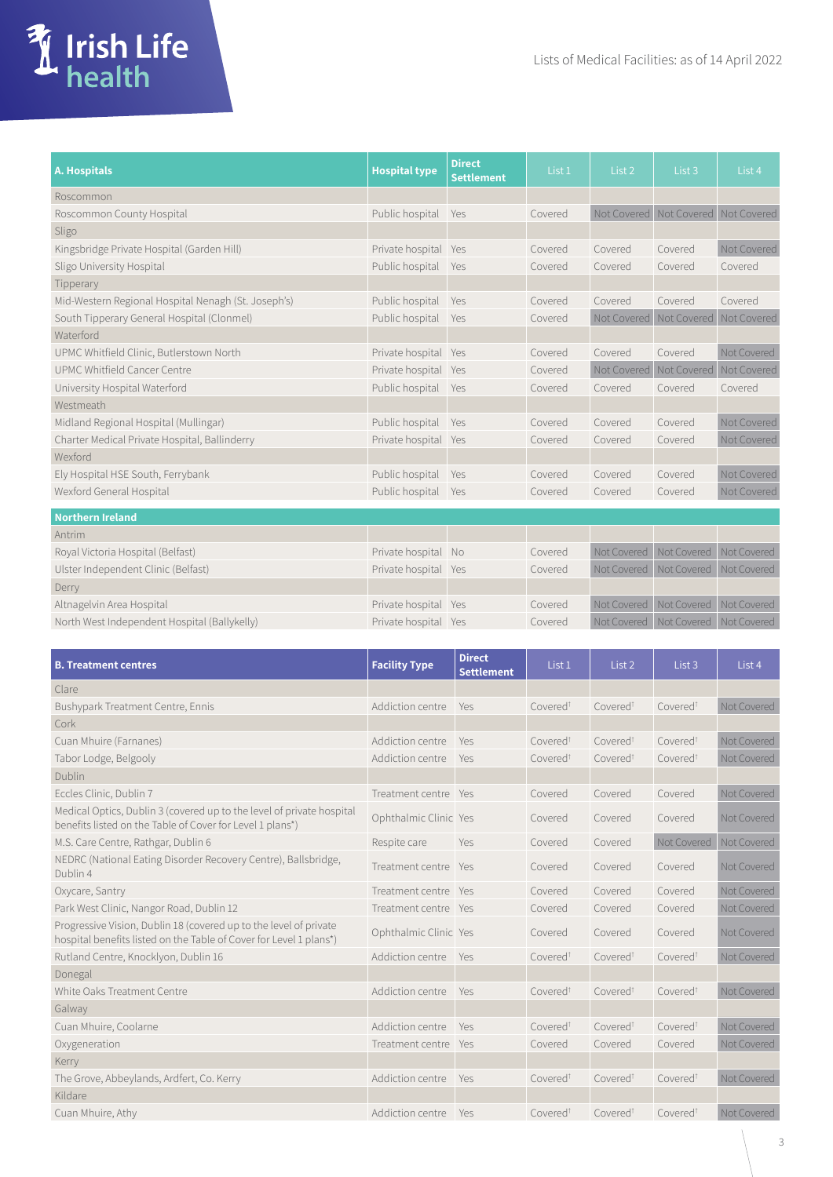| <b>A. Hospitals</b>                                 | <b>Hospital type</b> | <b>Direct</b><br><b>Settlement</b> | List <sub>1</sub> | List <sub>2</sub> | List <sub>3</sub>                   | List 4      |
|-----------------------------------------------------|----------------------|------------------------------------|-------------------|-------------------|-------------------------------------|-------------|
| Roscommon                                           |                      |                                    |                   |                   |                                     |             |
| Roscommon County Hospital                           | Public hospital      | Yes                                | Covered           | Not Covered       | Not Covered                         | Not Covered |
| Sligo                                               |                      |                                    |                   |                   |                                     |             |
| Kingsbridge Private Hospital (Garden Hill)          | Private hospital     | Yes                                | Covered           | Covered           | Covered                             | Not Covered |
| Sligo University Hospital                           | Public hospital      | Yes                                | Covered           | Covered           | Covered                             | Covered     |
| Tipperary                                           |                      |                                    |                   |                   |                                     |             |
| Mid-Western Regional Hospital Nenagh (St. Joseph's) | Public hospital      | Yes                                | Covered           | Covered           | Covered                             | Covered     |
| South Tipperary General Hospital (Clonmel)          | Public hospital      | Yes                                | Covered           | Not Covered       | Not Covered                         | Not Covered |
| Waterford                                           |                      |                                    |                   |                   |                                     |             |
| UPMC Whitfield Clinic, Butlerstown North            | Private hospital     | Yes                                | Covered           | Covered           | Covered                             | Not Covered |
| UPMC Whitfield Cancer Centre                        | Private hospital     | Yes                                | Covered           | Not Covered       | Not Covered                         | Not Covered |
| University Hospital Waterford                       | Public hospital      | Yes                                | Covered           | Covered           | Covered                             | Covered     |
| Westmeath                                           |                      |                                    |                   |                   |                                     |             |
| Midland Regional Hospital (Mullingar)               | Public hospital      | Yes                                | Covered           | Covered           | Covered                             | Not Covered |
| Charter Medical Private Hospital, Ballinderry       | Private hospital Yes |                                    | Covered           | Covered           | Covered                             | Not Covered |
| Wexford                                             |                      |                                    |                   |                   |                                     |             |
| Ely Hospital HSE South, Ferrybank                   | Public hospital      | Yes                                | Covered           | Covered           | Covered                             | Not Covered |
| Wexford General Hospital                            | Public hospital      | Yes                                | Covered           | Covered           | Covered                             | Not Covered |
| <b>Northern Ireland</b>                             |                      |                                    |                   |                   |                                     |             |
| Antrim                                              |                      |                                    |                   |                   |                                     |             |
| Royal Victoria Hospital (Belfast)                   | Private hospital No  |                                    | Covered           | Not Covered       | Not Covered                         | Not Covered |
| Ulster Independent Clinic (Belfast)                 | Private hospital Yes |                                    | Covered           |                   | Not Covered Not Covered Not Covered |             |

**Turish Life**<br> **A** health

| Ulster Independent Clinic (Belfast)          | Private hospital Yes | Covered |  | Not Covered Not Covered Not Covered |
|----------------------------------------------|----------------------|---------|--|-------------------------------------|
| Derry                                        |                      |         |  |                                     |
| Altnagelvin Area Hospital                    | Private hospital Yes | Covered |  | Not Covered Not Covered Not Covered |
| North West Independent Hospital (Ballykelly) | Private hospital Yes | Covered |  | Not Covered Not Covered Not Covered |

| <b>B. Treatment centres</b>                                                                                                             | <b>Facility Type</b>  | <b>Direct</b><br><b>Settlement</b> | List 1               | List 2               | List <sub>3</sub>    | List 4      |
|-----------------------------------------------------------------------------------------------------------------------------------------|-----------------------|------------------------------------|----------------------|----------------------|----------------------|-------------|
| Clare                                                                                                                                   |                       |                                    |                      |                      |                      |             |
| Bushypark Treatment Centre, Ennis                                                                                                       | Addiction centre      | Yes                                | Covered <sup>t</sup> | Covered <sup>t</sup> | Covered <sup>t</sup> | Not Covered |
| Cork                                                                                                                                    |                       |                                    |                      |                      |                      |             |
| Cuan Mhuire (Farnanes)                                                                                                                  | Addiction centre      | Yes                                | Covered <sup>t</sup> | Covered <sup>t</sup> | Covered <sup>t</sup> | Not Covered |
| Tabor Lodge, Belgooly                                                                                                                   | Addiction centre      | Yes                                | Covered <sup>t</sup> | Covered <sup>t</sup> | Covered <sup>t</sup> | Not Covered |
| Dublin                                                                                                                                  |                       |                                    |                      |                      |                      |             |
| Eccles Clinic, Dublin 7                                                                                                                 | Treatment centre Yes  |                                    | Covered              | Covered              | Covered              | Not Covered |
| Medical Optics, Dublin 3 (covered up to the level of private hospital<br>benefits listed on the Table of Cover for Level 1 plans*)      | Ophthalmic Clinic Yes |                                    | Covered              | Covered              | Covered              | Not Covered |
| M.S. Care Centre, Rathgar, Dublin 6                                                                                                     | Respite care          | Yes                                | Covered              | Covered              | Not Covered          | Not Covered |
| NEDRC (National Eating Disorder Recovery Centre), Ballsbridge,<br>Dublin 4                                                              | Treatment centre      | Yes                                | Covered              | Covered              | Covered              | Not Covered |
| Oxycare, Santry                                                                                                                         | Treatment centre      | Yes                                | Covered              | Covered              | Covered              | Not Covered |
| Park West Clinic, Nangor Road, Dublin 12                                                                                                | Treatment centre Yes  |                                    | Covered              | Covered              | Covered              | Not Covered |
| Progressive Vision, Dublin 18 (covered up to the level of private<br>hospital benefits listed on the Table of Cover for Level 1 plans*) | Ophthalmic Clinic Yes |                                    | Covered              | Covered              | Covered              | Not Covered |
| Rutland Centre, Knocklyon, Dublin 16                                                                                                    | Addiction centre      | Yes                                | Covered <sup>t</sup> | Covered <sup>t</sup> | Covered <sup>t</sup> | Not Covered |
| Donegal                                                                                                                                 |                       |                                    |                      |                      |                      |             |
| White Oaks Treatment Centre                                                                                                             | Addiction centre      | Yes                                | Covered <sup>t</sup> | Covered <sup>t</sup> | Covered <sup>t</sup> | Not Covered |
| Galway                                                                                                                                  |                       |                                    |                      |                      |                      |             |
| Cuan Mhuire, Coolarne                                                                                                                   | Addiction centre      | Yes                                | Covered <sup>t</sup> | Covered <sup>t</sup> | Covered <sup>t</sup> | Not Covered |
| Oxygeneration                                                                                                                           | Treatment centre      | Yes                                | Covered              | Covered              | Covered              | Not Covered |
| Kerry                                                                                                                                   |                       |                                    |                      |                      |                      |             |
| The Grove, Abbeylands, Ardfert, Co. Kerry                                                                                               | Addiction centre      | Yes                                | Covered <sup>t</sup> | Covered <sup>t</sup> | Covered <sup>t</sup> | Not Covered |
| Kildare                                                                                                                                 |                       |                                    |                      |                      |                      |             |
| Cuan Mhuire, Athy                                                                                                                       | Addiction centre      | Yes                                | Covered <sup>t</sup> | Covered <sup>t</sup> | Covered <sup>t</sup> | Not Covered |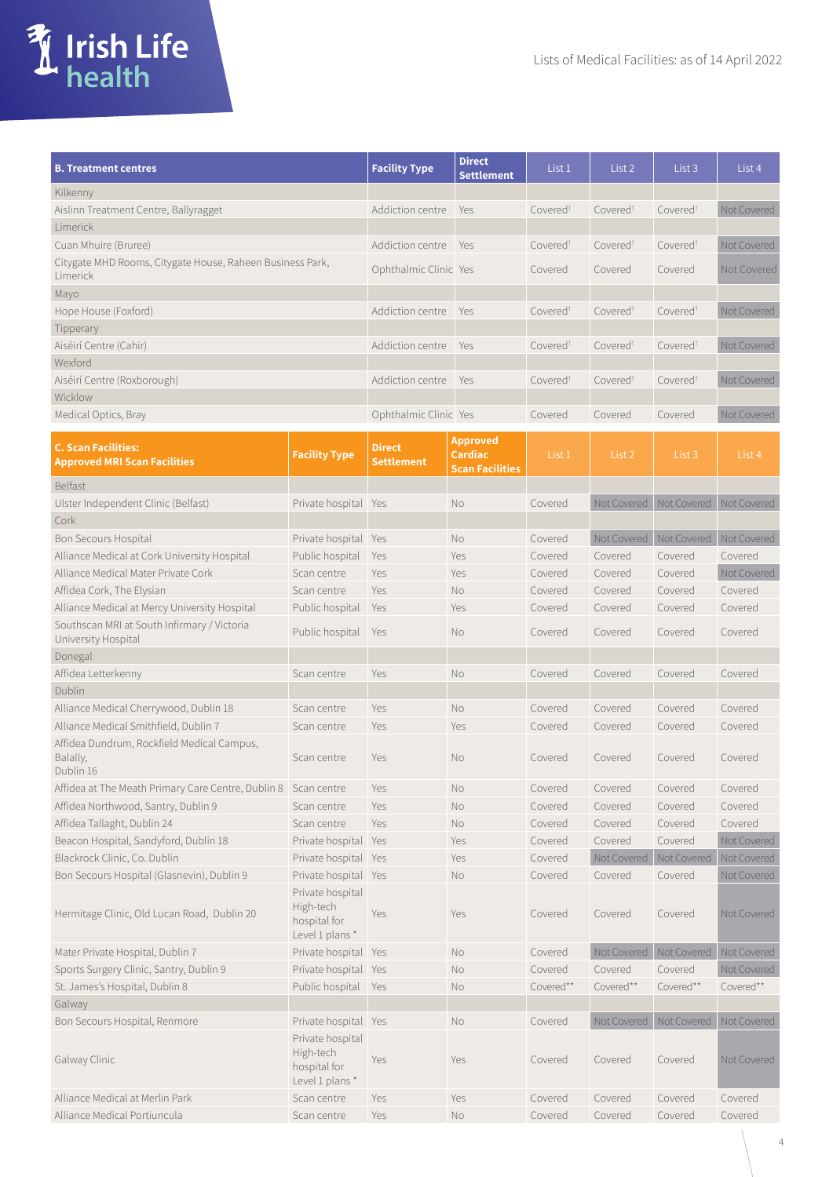| T Irish Life |
|--------------|
|              |

| <b>B. Treatment centres</b>                                         |                                                                 | <b>Facility Type</b>  | <b>Direct</b><br><b>Settlement</b>       | List 1               | List 2                    | List 3                                  | List 4      |
|---------------------------------------------------------------------|-----------------------------------------------------------------|-----------------------|------------------------------------------|----------------------|---------------------------|-----------------------------------------|-------------|
| Kilkenny                                                            |                                                                 |                       |                                          |                      |                           |                                         |             |
| Aislinn Treatment Centre, Ballyragget                               |                                                                 | Addiction centre      | Yes                                      | Covered <sup>t</sup> | Covered <sup>t</sup>      | Covered <sup>t</sup>                    | Not Covered |
| Limerick                                                            |                                                                 |                       |                                          |                      |                           |                                         |             |
| Cuan Mhuire (Bruree)                                                |                                                                 | Addiction centre      | Yes                                      | Covered <sup>t</sup> | Covered <sup>t</sup>      | Covered <sup>t</sup>                    | Not Covered |
| Citygate MHD Rooms, Citygate House, Raheen Business Park,           |                                                                 |                       |                                          |                      |                           |                                         |             |
| Limerick                                                            |                                                                 | Ophthalmic Clinic Yes |                                          | Covered              | Covered                   | Covered                                 | Not Covered |
| Mayo                                                                |                                                                 |                       |                                          |                      |                           |                                         |             |
| Hope House (Foxford)                                                |                                                                 | Addiction centre      | Yes                                      | Covered <sup>t</sup> | Covered <sup>t</sup>      | Covered <sup>t</sup>                    | Not Covered |
| Tipperary                                                           |                                                                 |                       |                                          |                      |                           |                                         |             |
| Aiséirí Centre (Cahir)                                              |                                                                 | Addiction centre      | Yes                                      | Covered <sup>t</sup> | Covered <sup>t</sup>      | Covered <sup>t</sup>                    | Not Covered |
| Wexford                                                             |                                                                 |                       |                                          |                      |                           |                                         |             |
| Aiséirí Centre (Roxborough)                                         |                                                                 | Addiction centre      | Yes                                      | Covered <sup>t</sup> | Covered <sup>t</sup>      | Covered <sup>t</sup>                    | Not Covered |
| Wicklow                                                             |                                                                 |                       |                                          |                      |                           |                                         |             |
| Medical Optics, Bray                                                |                                                                 | Ophthalmic Clinic Yes |                                          | Covered              | Covered                   | Covered                                 | Not Covered |
| <b>C. Scan Facilities:</b>                                          |                                                                 | <b>Direct</b>         | <b>Approved</b>                          |                      |                           |                                         |             |
| <b>Approved MRI Scan Facilities</b>                                 | <b>Facility Type</b>                                            | <b>Settlement</b>     | <b>Cardiac</b><br><b>Scan Facilities</b> | List 1               | List 2                    | List 3                                  | List 4      |
| <b>Belfast</b>                                                      |                                                                 |                       |                                          |                      |                           |                                         |             |
| Ulster Independent Clinic (Belfast)                                 | Private hospital Yes                                            |                       | No                                       | Covered              | Not Covered   Not Covered |                                         | Not Covered |
| Cork                                                                |                                                                 |                       |                                          |                      |                           |                                         |             |
| Bon Secours Hospital                                                | Private hospital Yes                                            |                       | No                                       | Covered              |                           | Not Covered   Not Covered   Not Covered |             |
| Alliance Medical at Cork University Hospital                        | Public hospital                                                 | Yes                   | Yes                                      | Covered              | Covered                   | Covered                                 | Covered     |
| Alliance Medical Mater Private Cork                                 | Scan centre                                                     | Yes                   | Yes                                      | Covered              | Covered                   | Covered                                 | Not Covered |
| Affidea Cork, The Elysian                                           | Scan centre                                                     | Yes                   | No                                       | Covered              | Covered                   | Covered                                 | Covered     |
| Alliance Medical at Mercy University Hospital                       | Public hospital                                                 | Yes                   | Yes                                      | Covered              | Covered                   | Covered                                 | Covered     |
| Southscan MRI at South Infirmary / Victoria                         |                                                                 |                       |                                          |                      |                           |                                         |             |
| University Hospital                                                 | Public hospital                                                 | Yes                   | <b>No</b>                                | Covered              | Covered                   | Covered                                 | Covered     |
| Donegal                                                             |                                                                 |                       |                                          |                      |                           |                                         |             |
| Affidea Letterkenny                                                 | Scan centre                                                     | Yes                   | <b>No</b>                                | Covered              | Covered                   | Covered                                 | Covered     |
| Dublin                                                              |                                                                 |                       |                                          |                      |                           |                                         |             |
| Alliance Medical Cherrywood, Dublin 18                              | Scan centre                                                     | Yes                   | No                                       | Covered              | Covered                   | Covered                                 | Covered     |
| Alliance Medical Smithfield, Dublin 7                               | Scan centre                                                     | Yes                   | Yes                                      | Covered              | Covered                   | Covered                                 | Covered     |
| Affidea Dundrum, Rockfield Medical Campus,<br>Balally,<br>Dublin 16 | Scan centre                                                     | Yes                   | No                                       | Covered              | Covered                   | Covered                                 | Covered     |
| Affidea at The Meath Primary Care Centre, Dublin 8                  | Scan centre                                                     | Yes                   | No                                       | Covered              | Covered                   | Covered                                 | Covered     |
| Affidea Northwood, Santry, Dublin 9                                 | Scan centre                                                     | Yes                   | No                                       | Covered              | Covered                   | Covered                                 | Covered     |
| Affidea Tallaght, Dublin 24                                         | Scan centre                                                     | Yes                   | No                                       | Covered              | Covered                   | Covered                                 | Covered     |
| Beacon Hospital, Sandyford, Dublin 18                               | Private hospital Yes                                            |                       | Yes                                      | Covered              | Covered                   | Covered                                 | Not Covered |
| Blackrock Clinic, Co. Dublin                                        | Private hospital                                                | Yes                   | Yes                                      | Covered              | Not Covered               | Not Covered                             | Not Covered |
| Bon Secours Hospital (Glasnevin), Dublin 9                          | Private hospital Yes                                            |                       | No                                       | Covered              | Covered                   | Covered                                 | Not Covered |
| Hermitage Clinic, Old Lucan Road, Dublin 20                         | Private hospital<br>High-tech<br>hospital for<br>Level 1 plans* | Yes                   | Yes                                      | Covered              | Covered                   | Covered                                 | Not Covered |
| Mater Private Hospital, Dublin 7                                    | Private hospital                                                | Yes                   | No                                       | Covered              | Not Covered               | Not Covered                             | Not Covered |
| Sports Surgery Clinic, Santry, Dublin 9                             | Private hospital Yes                                            |                       | No                                       | Covered              | Covered                   | Covered                                 | Not Covered |
| St. James's Hospital, Dublin 8                                      | Public hospital Yes                                             |                       | No                                       | Covered**            | Covered**                 | Covered**                               | Covered**   |
| Galway                                                              |                                                                 |                       |                                          |                      |                           |                                         |             |
| Bon Secours Hospital, Renmore                                       | Private hospital Yes                                            |                       | No                                       | Covered              | Not Covered Not Covered   |                                         | Not Covered |
|                                                                     | Private hospital<br>High-tech                                   |                       |                                          |                      |                           |                                         |             |
| Galway Clinic                                                       | hospital for<br>Level 1 plans*                                  | Yes                   | Yes                                      | Covered              | Covered                   | Covered                                 | Not Covered |
| Alliance Medical at Merlin Park                                     | Scan centre                                                     | Yes                   | Yes                                      | Covered              | Covered                   | Covered                                 | Covered     |
| Alliance Medical Portiuncula                                        | Scan centre                                                     | Yes                   | No                                       | Covered              | Covered                   | Covered                                 | Covered     |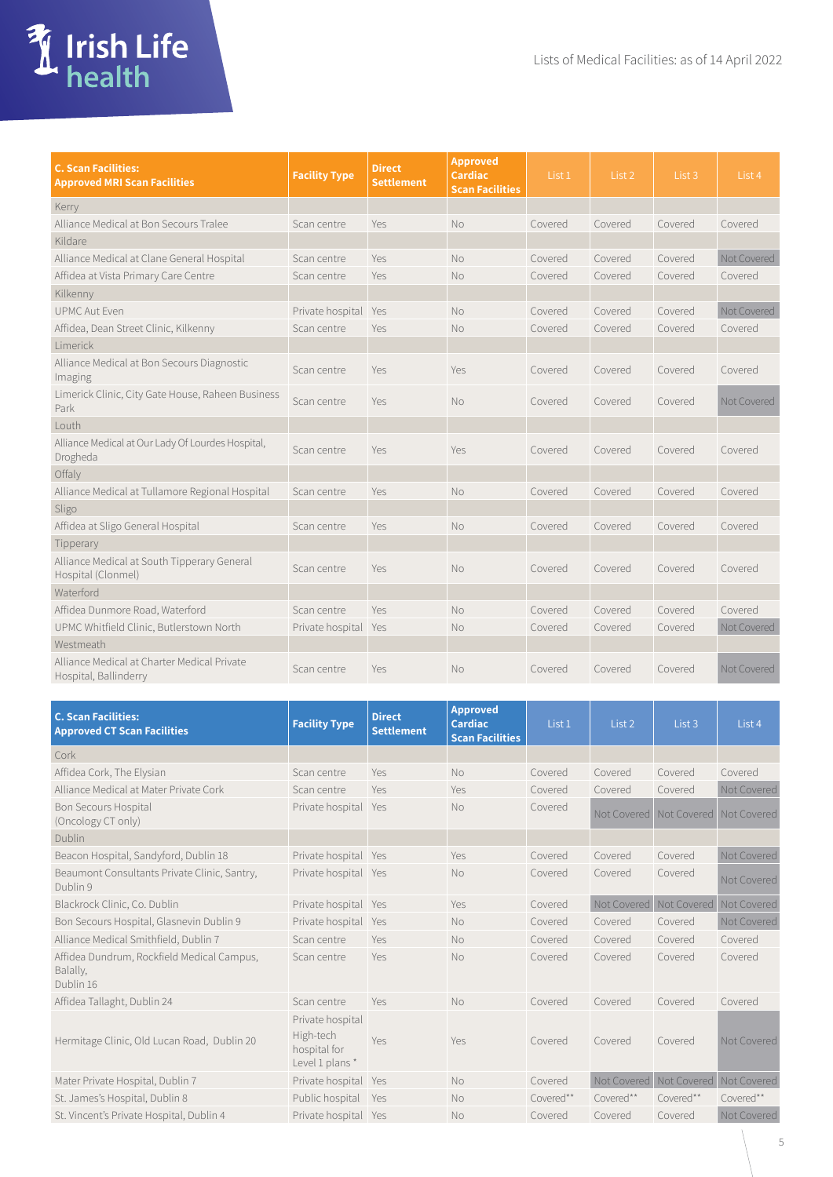

| <b>C. Scan Facilities:</b><br><b>Approved MRI Scan Facilities</b>    | <b>Facility Type</b> | <b>Direct</b><br><b>Settlement</b> | <b>Approved</b><br><b>Cardiac</b><br><b>Scan Facilities</b> | List 1  | List 2  | List 3  | List 4      |
|----------------------------------------------------------------------|----------------------|------------------------------------|-------------------------------------------------------------|---------|---------|---------|-------------|
| Kerry                                                                |                      |                                    |                                                             |         |         |         |             |
| Alliance Medical at Bon Secours Tralee                               | Scan centre          | Yes                                | <b>No</b>                                                   | Covered | Covered | Covered | Covered     |
| Kildare                                                              |                      |                                    |                                                             |         |         |         |             |
| Alliance Medical at Clane General Hospital                           | Scan centre          | Yes                                | <b>No</b>                                                   | Covered | Covered | Covered | Not Covered |
| Affidea at Vista Primary Care Centre                                 | Scan centre          | Yes                                | <b>No</b>                                                   | Covered | Covered | Covered | Covered     |
| Kilkenny                                                             |                      |                                    |                                                             |         |         |         |             |
| <b>UPMC Aut Fven</b>                                                 | Private hospital Yes |                                    | No                                                          | Covered | Covered | Covered | Not Covered |
| Affidea, Dean Street Clinic, Kilkenny                                | Scan centre          | Yes                                | No                                                          | Covered | Covered | Covered | Covered     |
| Limerick                                                             |                      |                                    |                                                             |         |         |         |             |
| Alliance Medical at Bon Secours Diagnostic<br>Imaging                | Scan centre          | Yes                                | Yes                                                         | Covered | Covered | Covered | Covered     |
| Limerick Clinic, City Gate House, Raheen Business<br>Park            | Scan centre          | Yes                                | <b>No</b>                                                   | Covered | Covered | Covered | Not Covered |
| Louth                                                                |                      |                                    |                                                             |         |         |         |             |
| Alliance Medical at Our Lady Of Lourdes Hospital,<br>Drogheda        | Scan centre          | Yes                                | Yes                                                         | Covered | Covered | Covered | Covered     |
| Offaly                                                               |                      |                                    |                                                             |         |         |         |             |
| Alliance Medical at Tullamore Regional Hospital                      | Scan centre          | Yes                                | <b>No</b>                                                   | Covered | Covered | Covered | Covered     |
| Sligo                                                                |                      |                                    |                                                             |         |         |         |             |
| Affidea at Sligo General Hospital                                    | Scan centre          | Yes                                | No                                                          | Covered | Covered | Covered | Covered     |
| Tipperary                                                            |                      |                                    |                                                             |         |         |         |             |
| Alliance Medical at South Tipperary General<br>Hospital (Clonmel)    | Scan centre          | Yes                                | <b>No</b>                                                   | Covered | Covered | Covered | Covered     |
| Waterford                                                            |                      |                                    |                                                             |         |         |         |             |
| Affidea Dunmore Road, Waterford                                      | Scan centre          | Yes                                | <b>No</b>                                                   | Covered | Covered | Covered | Covered     |
| UPMC Whitfield Clinic, Butlerstown North                             | Private hospital     | Yes                                | <b>No</b>                                                   | Covered | Covered | Covered | Not Covered |
| Westmeath                                                            |                      |                                    |                                                             |         |         |         |             |
| Alliance Medical at Charter Medical Private<br>Hospital, Ballinderry | Scan centre          | Yes                                | <b>No</b>                                                   | Covered | Covered | Covered | Not Covered |

| <b>C. Scan Facilities:</b><br><b>Approved CT Scan Facilities</b>    | <b>Facility Type</b>                                             | <b>Direct</b><br><b>Settlement</b> | <b>Approved</b><br><b>Cardiac</b><br><b>Scan Facilities</b> | List 1    | List 2      | List <sub>3</sub> | List 4      |
|---------------------------------------------------------------------|------------------------------------------------------------------|------------------------------------|-------------------------------------------------------------|-----------|-------------|-------------------|-------------|
| Cork                                                                |                                                                  |                                    |                                                             |           |             |                   |             |
| Affidea Cork, The Elysian                                           | Scan centre                                                      | Yes                                | <b>No</b>                                                   | Covered   | Covered     | Covered           | Covered     |
| Alliance Medical at Mater Private Cork                              | Scan centre                                                      | Yes                                | Yes                                                         | Covered   | Covered     | Covered           | Not Covered |
| <b>Bon Secours Hospital</b><br>(Oncology CT only)                   | Private hospital                                                 | Yes                                | <b>No</b>                                                   | Covered   | Not Covered | Not Covered       | Not Covered |
| Dublin                                                              |                                                                  |                                    |                                                             |           |             |                   |             |
| Beacon Hospital, Sandyford, Dublin 18                               | Private hospital                                                 | Yes                                | Yes                                                         | Covered   | Covered     | Covered           | Not Covered |
| Beaumont Consultants Private Clinic, Santry,<br>Dublin 9            | Private hospital Yes                                             |                                    | No                                                          | Covered   | Covered     | Covered           | Not Covered |
| Blackrock Clinic, Co. Dublin                                        | Private hospital                                                 | Yes                                | Yes                                                         | Covered   | Not Covered | Not Covered       | Not Covered |
| Bon Secours Hospital, Glasnevin Dublin 9                            | Private hospital                                                 | Yes                                | <b>No</b>                                                   | Covered   | Covered     | Covered           | Not Covered |
| Alliance Medical Smithfield, Dublin 7                               | Scan centre                                                      | Yes                                | <b>No</b>                                                   | Covered   | Covered     | Covered           | Covered     |
| Affidea Dundrum, Rockfield Medical Campus,<br>Balally,<br>Dublin 16 | Scan centre                                                      | Yes                                | <b>No</b>                                                   | Covered   | Covered     | Covered           | Covered     |
| Affidea Tallaght, Dublin 24                                         | Scan centre                                                      | Yes                                | <b>No</b>                                                   | Covered   | Covered     | Covered           | Covered     |
| Hermitage Clinic, Old Lucan Road, Dublin 20                         | Private hospital<br>High-tech<br>hospital for<br>Level 1 plans * | Yes                                | Yes                                                         | Covered   | Covered     | Covered           | Not Covered |
| Mater Private Hospital, Dublin 7                                    | Private hospital                                                 | Yes                                | <b>No</b>                                                   | Covered   | Not Covered | Not Covered       | Not Covered |
| St. James's Hospital, Dublin 8                                      | Public hospital                                                  | Yes                                | <b>No</b>                                                   | Covered** | Covered**   | Covered**         | Covered**   |
| St. Vincent's Private Hospital, Dublin 4                            | Private hospital Yes                                             |                                    | <b>No</b>                                                   | Covered   | Covered     | Covered           | Not Covered |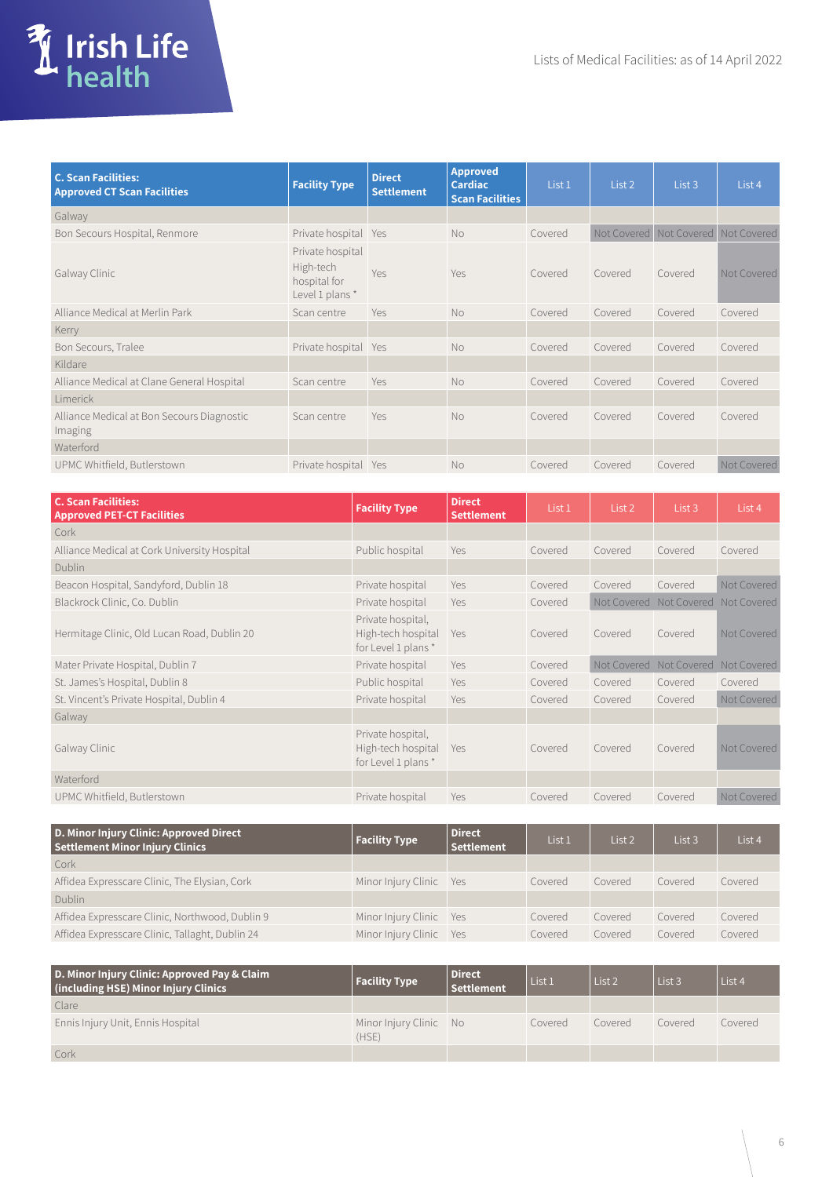

| <b>C. Scan Facilities:</b><br><b>Approved CT Scan Facilities</b> | <b>Facility Type</b>                                             | <b>Direct</b><br><b>Settlement</b> | <b>Approved</b><br><b>Cardiac</b><br><b>Scan Facilities</b> | List 1  | List 2                              | List 3  | List 4      |
|------------------------------------------------------------------|------------------------------------------------------------------|------------------------------------|-------------------------------------------------------------|---------|-------------------------------------|---------|-------------|
| Galway                                                           |                                                                  |                                    |                                                             |         |                                     |         |             |
| Bon Secours Hospital, Renmore                                    | Private hospital                                                 | Yes                                | No                                                          | Covered | Not Covered Not Covered Not Covered |         |             |
| Galway Clinic                                                    | Private hospital<br>High-tech<br>hospital for<br>Level 1 plans * | Yes                                | Yes                                                         | Covered | Covered                             | Covered | Not Covered |
| Alliance Medical at Merlin Park                                  | Scan centre                                                      | Yes                                | No                                                          | Covered | Covered                             | Covered | Covered     |
| Kerry                                                            |                                                                  |                                    |                                                             |         |                                     |         |             |
| Bon Secours, Tralee                                              | Private hospital Yes                                             |                                    | <b>No</b>                                                   | Covered | Covered                             | Covered | Covered     |
| Kildare                                                          |                                                                  |                                    |                                                             |         |                                     |         |             |
| Alliance Medical at Clane General Hospital                       | Scan centre                                                      | Yes                                | No                                                          | Covered | Covered                             | Covered | Covered     |
| Limerick                                                         |                                                                  |                                    |                                                             |         |                                     |         |             |
| Alliance Medical at Bon Secours Diagnostic<br>Imaging            | Scan centre                                                      | Yes                                | No                                                          | Covered | Covered                             | Covered | Covered     |
| Waterford                                                        |                                                                  |                                    |                                                             |         |                                     |         |             |
| UPMC Whitfield, Butlerstown                                      | Private hospital                                                 | Yes                                | <b>No</b>                                                   | Covered | Covered                             | Covered | Not Covered |

| <b>C. Scan Facilities:</b><br><b>Approved PET-CT Facilities</b> | <b>Facility Type</b>                                          | <b>Direct</b><br><b>Settlement</b> | List 1  | List 2                  | List 3                  | List 4      |
|-----------------------------------------------------------------|---------------------------------------------------------------|------------------------------------|---------|-------------------------|-------------------------|-------------|
| Cork                                                            |                                                               |                                    |         |                         |                         |             |
| Alliance Medical at Cork University Hospital                    | Public hospital                                               | <b>Yes</b>                         | Covered | Covered                 | Covered                 | Covered     |
| <b>Dublin</b>                                                   |                                                               |                                    |         |                         |                         |             |
| Beacon Hospital, Sandyford, Dublin 18                           | Private hospital                                              | <b>Yes</b>                         | Covered | Covered                 | Covered                 | Not Covered |
| Blackrock Clinic, Co. Dublin                                    | Private hospital                                              | Yes                                | Covered | Not Covered Not Covered |                         | Not Covered |
| Hermitage Clinic, Old Lucan Road, Dublin 20                     | Private hospital,<br>High-tech hospital<br>for Level 1 plans* | Yes                                | Covered | Covered                 | Covered                 | Not Covered |
| Mater Private Hospital, Dublin 7                                | Private hospital                                              | Yes                                | Covered |                         | Not Covered Not Covered | Not Covered |
| St. James's Hospital, Dublin 8                                  | Public hospital                                               | Yes                                | Covered | Covered                 | Covered                 | Covered     |
| St. Vincent's Private Hospital, Dublin 4                        | Private hospital                                              | Yes                                | Covered | Covered                 | Covered                 | Not Covered |
| Galway                                                          |                                                               |                                    |         |                         |                         |             |
| Galway Clinic                                                   | Private hospital,<br>High-tech hospital<br>for Level 1 plans* | Yes                                | Covered | Covered                 | Covered                 | Not Covered |
| Waterford                                                       |                                                               |                                    |         |                         |                         |             |
| UPMC Whitfield, Butlerstown                                     | Private hospital                                              | Yes                                | Covered | Covered                 | Covered                 | Not Covered |

| D. Minor Injury Clinic: Approved Direct<br><b>Settlement Minor Injury Clinics</b> | Facility Type           | <b>Direct</b><br><b>Settlement</b> | List 1  | List 2  | List 3  | List <sub>4</sub> |
|-----------------------------------------------------------------------------------|-------------------------|------------------------------------|---------|---------|---------|-------------------|
| Cork                                                                              |                         |                                    |         |         |         |                   |
| Affidea Expresscare Clinic, The Elysian, Cork                                     | Minor Injury Clinic Yes |                                    | Covered | Covered | Covered | Covered           |
| Dublin                                                                            |                         |                                    |         |         |         |                   |
| Affidea Expresscare Clinic, Northwood, Dublin 9                                   | Minor Injury Clinic Yes |                                    | Covered | Covered | Covered | Covered           |
| Affidea Expresscare Clinic, Tallaght, Dublin 24                                   | Minor Injury Clinic Yes |                                    | Covered | Covered | Covered | Covered           |

| D. Minor Injury Clinic: Approved Pay & Claim<br>(including HSE) Minor Injury Clinics | <b>Facility Type</b>            | <b>Direct</b><br><b>Settlement</b> | List 1  | List 2  | List <sub>3</sub> | List 4  |
|--------------------------------------------------------------------------------------|---------------------------------|------------------------------------|---------|---------|-------------------|---------|
| Clare                                                                                |                                 |                                    |         |         |                   |         |
| Ennis Injury Unit, Ennis Hospital                                                    | Minor Injury Clinic No<br>(HSE) |                                    | Covered | Covered | Covered           | Covered |
| Cork                                                                                 |                                 |                                    |         |         |                   |         |